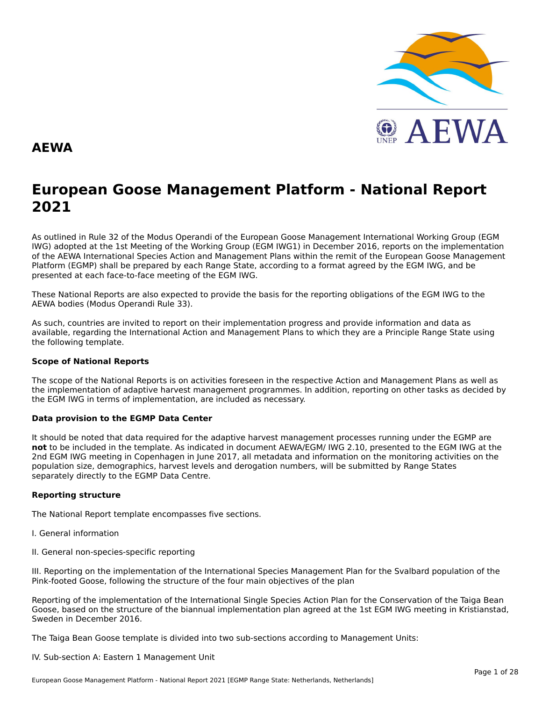

#### **AEWA**

## **European Goose Management Platform - National Report**European Goose Management Platform - National Report<br>2021

As outlined in Rule 32 of the Modus Operandi of the European Goose Management International Working Group (EGM As buthled in Rule 32 of the Modus Operandi of the Lufopean Goose Management International Working Group (LGM<br>IWG) adopted at the 1st Meeting of the Working Group (EGM IWG1) in December 2016, reports on the implementation of the AEWA International Species Action and Management Plans within the remit of the European Goose Management Platform (EGMP) shall be prepared by each Range State, according to a format agreed by the EGM IWG, and be presented at each face-to-face meeting of the EGM IWG.

These National Reports are also expected to provide the basis for the reporting obligations of the EGM IWG to the AEWA bodies (Modus Operandi Rule 33).

As such, countries are invited to report on their implementation progress and provide information and data asAs such, countries are invited to report on their implementation progress and provide imomiation and data as<br>available, regarding the International Action and Management Plans to which they are a Principle Range State usin the following template.

#### **Scope of National Reports**

The scope of the National Reports is on activities foreseen in the respective Action and Management Plans as well as<br>the invalence total of adoptive harvest management are respective and dition are atting on other today as the implementation of adaptive harvest management programmes. In addition, reporting on other tasks as decided by the EGM IWG in terms of implementation, are included as necessary.

#### **Data provision to the EGMP Data Center**

It should be noted that data required for the adaptive harvest management processes running under the EGMP are not to be included in the template. As indicated in document AEWA/EGM/ IWG 2.10, presented to the EGM IWG at the 2nd EGM IWG meeting in Copenhagen in June 2017, all metadata and information on the monitoring activities on the population size, demographics, harvest levels and derogation numbers, will be submitted by Range States separately directly to the EGMP Data Centre.

#### **Reporting structure**

The National Report template encompasses five sections.

- I. General information
- II. General non-species-specific reporting

III. Reporting on the implementation of the International Species Management Plan for the Svalbard population of the Pink-footed Goose, following the structure of the four main objectives of the plan

Reporting of the implementation of the International Single Species Action Plan for the Conservation of the Taiga Bean Goose, based on the structure of the biannual implementation plan agreed at the 1st EGM IWG meeting in Kristianstad, Sweden in December 2016.

The Taiga Bean Goose template is divided into two sub-sections according to Management Units:

#### IV. Sub-section A: Eastern 1 Management Unit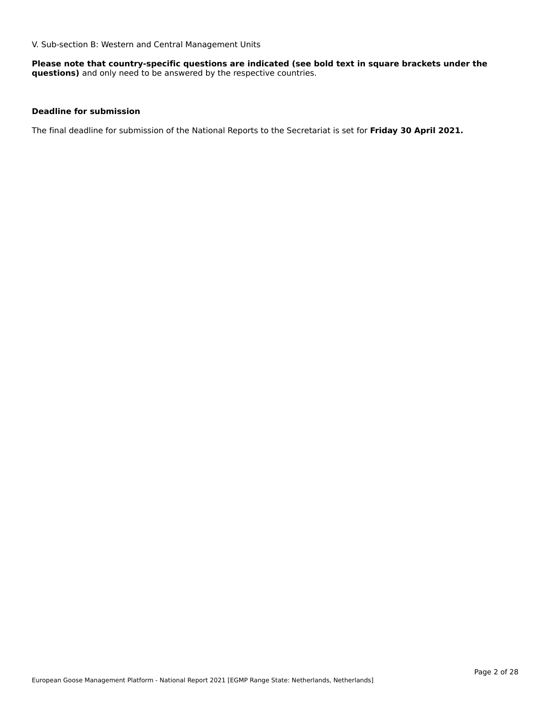V. Sub-section B: Western and Central Management Units

**Please note that country-specific questions are indicated (see bold text in square brackets under the questions)** and only need to be answered by the respective countries.

#### **Deadline for submission**

The final deadline for submission of the National Reports to the Secretariat is set for **Friday 30 April 2021.**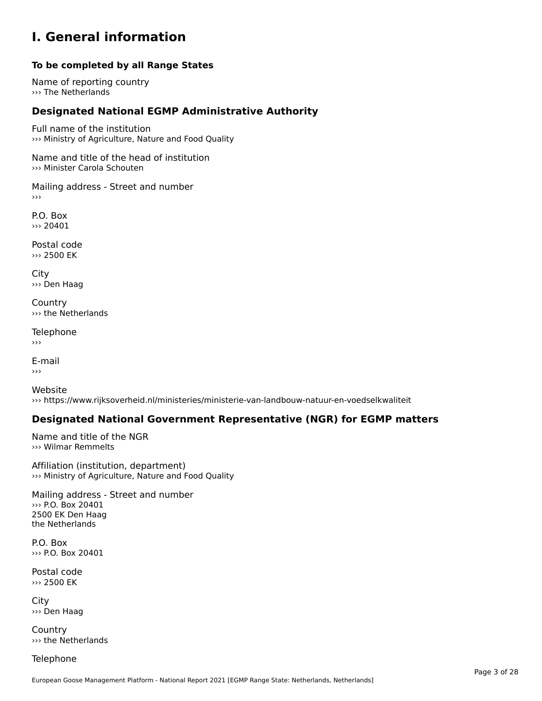#### **I. General information**

#### **To be completed by all Range States**

Name of reporting country ››› The Netherlands

### **Designated National EGMP Administrative Authority**

Full name of the institution ››› Ministry of Agriculture, Nature and Food Quality

Name and title of the head of institution››› Minister Carola Schouten

Mailing address - Street and number ›››

P.O. Box››› 20401

Postal code ››› 2500 EK

City ››› Den Haag

**Country** ››› the Netherlands

Telephone

E-mail›››

Website››› https://www.rijksoverheid.nl/ministeries/ministerie-van-landbouw-natuur-en-voedselkwaliteit

#### **Designated National Government Representative (NGR) for EGMP matters**

Name and title of the NGR ››› Wilmar Remmelts

Affiliation (institution, department) ››› Ministry of Agriculture, Nature and Food Quality

Mailing address - Street and number ››› P.O. Box 204012500 EK Den Haagthe Netherlands

P.O. Box››› P.O. Box 20401

Postal code››› 2500 EK

City ››› Den Haag

**Country** ››› the Netherlands

Telephone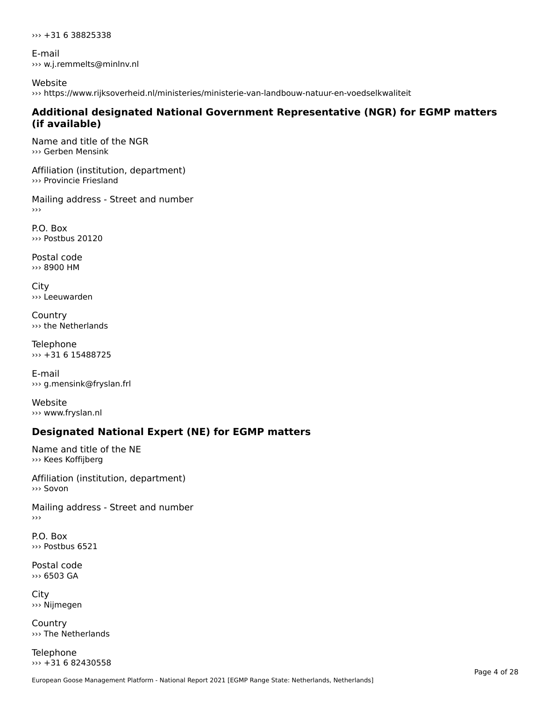››› +31 6 38825338

E-mail ››› w.j.remmelts@minlnv.nl

Website ››› https://www.rijksoverheid.nl/ministeries/ministerie-van-landbouw-natuur-en-voedselkwaliteit

#### **Additional designated National Government Representative (NGR) for EGMP matters (if available)**

Name and title of the NGR ››› Gerben Mensink

Affiliation (institution, department) ››› Provincie Friesland

Mailing address - Street and number

P.O. Box››› Postbus 20120

Postal code ››› 8900 HM

City ››› Leeuwarden

**Country** ››› the Netherlands

Telephone ››› +31 6 15488725

E-mail››› g.mensink@fryslan.frl

Website››› www.fryslan.nl

### **Designated National Expert (NE) for EGMP matters**

Name and title of the NE ››› Kees Koffijberg

Affiliation (institution, department)››› Sovon

Mailing address - Street and number

P.O. Box››› Postbus 6521

Postal code ››› 6503 GA

City ››› Nijmegen

**Country** ››› The Netherlands

Telephone  $\rightarrow$  +31 6 82430558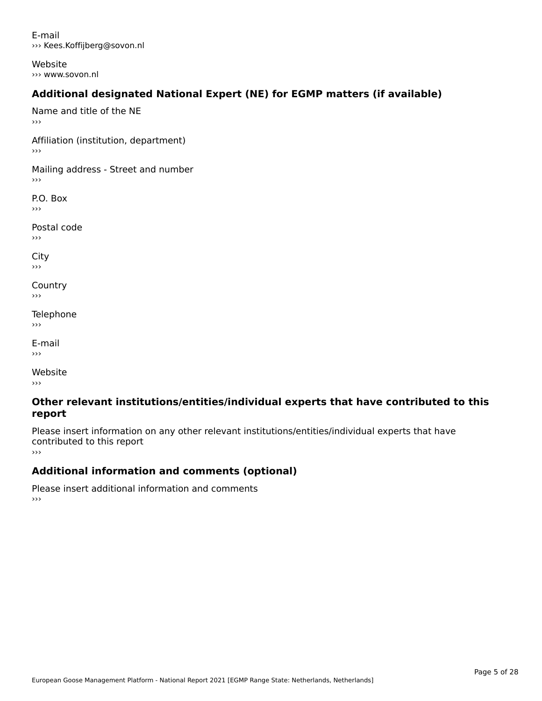E-mail››› Kees.Koffijberg@sovon.nl

Website››› www.sovon.nl

### **Additional designated National Expert (NE) for EGMP matters (if available)**

Name and title of the NE ›››Affiliation (institution, department) Mailing address - Street and number  $\rightarrow$   $>$ P.O. Box ›››Postal code›››City ااب<br><< **Country**  $\rightarrow$   $>$ Telephone ›››E-mail›››

Website›››

#### **Other relevant institutions/entities/individual experts that have contributed to this report**report

Please insert information on any other relevant institutions/entities/individual experts that have continuated to this report

### **Additional information and comments (optional)**

Please insert additional information and comments ›››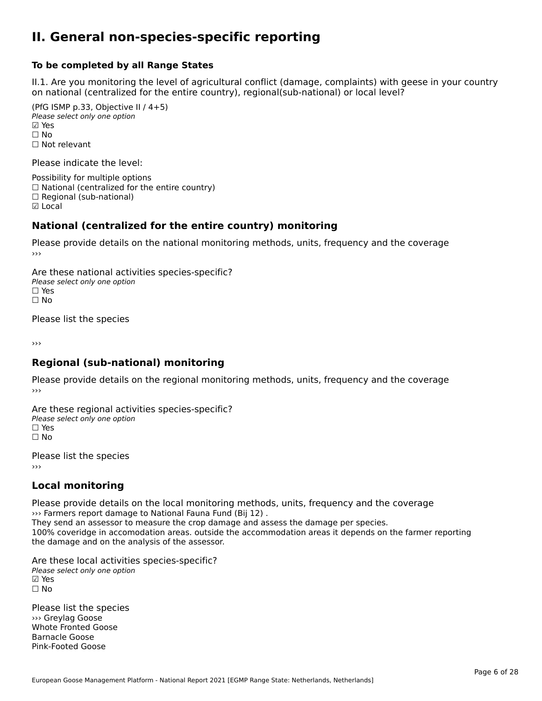#### **II. General non-species-specific reporting**

#### **To be completed by all Range States**

II.1. Are you monitoring the level of agricultural conflict (damage, complaints) with geese in your country n.i. Are you monitoring the lever or agricultural connict (damage, complaints) with g<br>on national (centralized for the entire country), regional(sub-national) or local level?

(PfG ISMP p.33, Objective II  $(4+5)$ ) Please select only one option ☑ Yes**☑ Yes**<br>□ No □ No<br>□ Not relevant

Please indicate the level:

Possibility for multiple options  $\Box$  National (centralized for the entire country)  $\Box$  Regional (sub-national) ☑ Local

#### **National (centralized for the entire country) monitoring**

Please provide details on the national monitoring methods, units, frequency and the coverage

Are these national activities species-specific? ∩ne enese national activity<br>Please select only one option ☐ No $\Box$  No

Please list the species

›››

#### **Regional (sub-national) monitoring**

Please provide details on the regional monitoring methods, units, frequency and the coverage

Are these regional activities species-specific? ∩ne these regional activ<br>Please select only one option □ Yes<br>□ No

Please list the species ›››

### **Local monitoring**

Please provide details on the local monitoring methods, units, frequency and the coverage ››› Farmers report damage to National Fauna Fund (Bij 12) .

They send an assessor to measure the crop damage and assess the damage per species. They send an assessor to measure the crop damage and assess the damage per species.<br>100% coveridge in accomodation areas. outside the accommodation areas it depends on the farmer reporting the damage and on the analysis of the assessor.

Are these local activities species-specific? Please select only one option☑ Yes☐ No

Please list the species ››› Greylag Goose Whote Fronted Goose Barnacle GooseBarnacle Goose<br>Pink-Footed Goose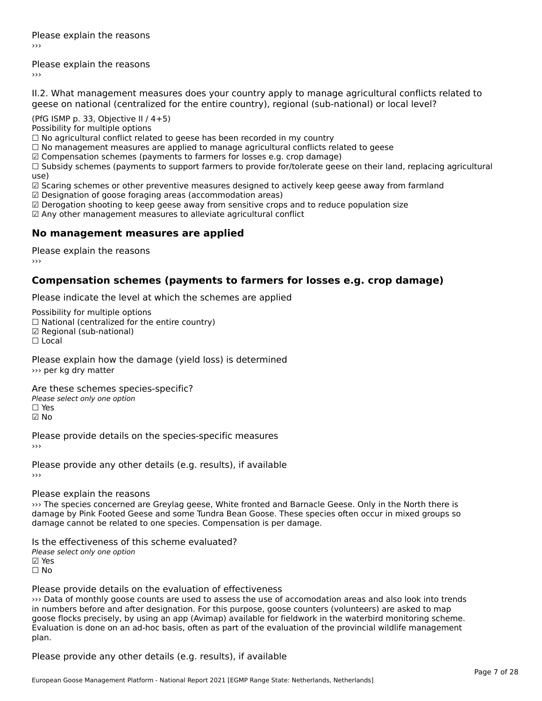Please explain the reasons›››

Please explain the reasons ›››

II.2. What management measures does your country apply to manage agricultural conflicts related to

(PfG ISMP p. 33, Objective II  $/$  4+5)

Possibility for multiple options

 $\Box$  No agricultural conflict related to geese has been recorded in my country

 $\Box$  No management measures are applied to manage agricultural conflicts related to geese

☑ Compensation schemes (payments to farmers for losses e.g. crop damage)

ച്ച compensation schemes (payments to ramiers for losses e.g. crop damage)<br>□ Subsidy schemes (payments to support farmers to provide for/tolerate geese on their land, replacing agricultural use)

use)<br>☑ Scaring schemes or other preventive measures designed to actively keep geese away from farmland

 $\boxtimes$  Designation of goose foraging areas (accommodation areas)

ය Designation of goose foraging areas (accommodation areas)<br>☑ Derogation shooting to keep geese away from sensitive crops and to reduce population size

☑ Any other management measures to alleviate agricultural conflict

#### **No management measures are applied**

Please explain the reasons ›››

#### **Compensation schemes (payments to farmers for losses e.g. crop damage)**

Please indicate the level at which the schemes are applied

Possibility for multiple options rossibility for multiple options<br>□ National (centralized for the entire country) □ National (centralized io<br>☑ Regional (sub-national) ☐ Local

Please explain how the damage (yield loss) is determined ››› per kg dry matter

Are these schemes species-specific?

∩ne these senemes spe<br>Please select only one option

☑ No

Please provide details on the species-specific measures ›››

Please provide any other details (e.g. results), if available ›››

#### Please explain the reasons

››› The species concerned are Greylag geese, White fronted and Barnacle Geese. Only in the North there is where species concerned are Greylay geese, while nonced and barnacle Geese. Only in the North there is<br>damage by Pink Footed Geese and some Tundra Bean Goose. These species often occur in mixed groups so damage cannot be related to one species. Compensation is per damage.

Is the effectiveness of this scheme evaluated?

Please select only one option

☑ Yes

☐ No

#### Please provide details on the evaluation of effectiveness

››› Data of monthly goose counts are used to assess the use of accomodation areas and also look into trends in numbers before and after designation. For this purpose, goose counters (volunteers) are asked to map In humbers before and after designation. For this purpose, goose counters (volunteers) are asked to hidp<br>goose flocks precisely, by using an app (Avimap) available for fieldwork in the waterbird monitoring scheme. plan.plan.

Please provide any other details (e.g. results), if available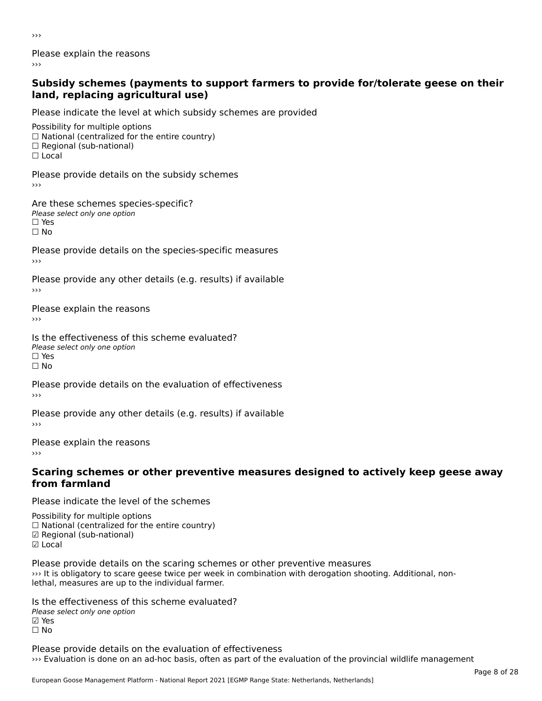›››

Please explain the reasons›››

#### **Subsidy schemes (payments to support farmers to provide for/tolerate geese on their land, replacing agricultural use)**land, replacing agricultural use)

Please indicate the level at which subsidy schemes are provided

Possibility for multiple options ™assibility for multiple options<br>□ National (centralized for the entire country) □ National (centralized io<br>□ Regional (sub-national) ☐ Local

Please provide details on the subsidy schemes

Are these schemes species-specific? ric criese serientes spec<br>Please select only one option ☐ Yes☐ No

Please provide details on the species-specific measures

Please provide any other details (e.g. results) if available

Please explain the reasons›››

Is the effectiveness of this scheme evaluated?Please select only one option ☐ Yes☐ No

Please provide details on the evaluation of effectiveness

Please provide any other details (e.g. results) if available

Please explain the reasons

#### **Scaring schemes or other preventive measures designed to actively keep geese away from farmland**

Please indicate the level of the schemes

Possibility for multiple options

- rossibility for multiple options<br>□ National (centralized for the entire country)
- □ National (centralized io<br>☑ Regional (sub-national)
- ⊠ Regio<br>☑ Local

Please provide details on the scaring schemes or other preventive measures ››› It is obligatory to scare geese twice per week in combination with derogation shooting. Additional, nonwhichs dungatory to scare geese twice per week<br>lethal, measures are up to the individual farmer.

Is the effectiveness of this scheme evaluated?Please select only one option☑ Yes☐ No

Please provide details on the evaluation of effectiveness ››› Evaluation is done on an ad-hoc basis, often as part of the evaluation of the provincial wildlife management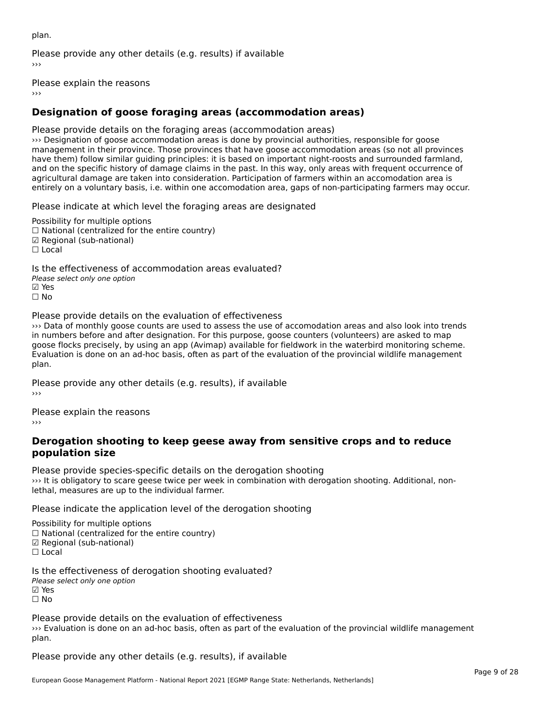plan.

Please provide any other details (e.g. results) if available

Please explain the reasons

### **Designation of goose foraging areas (accommodation areas)**

Please provide details on the foraging areas (accommodation areas)

››› Designation of goose accommodation areas is done by provincial authorities, responsible for goose management in their province. Those provinces that have goose accommodation areas (so not all provinces have them) follow similar guiding principles: it is based on important night-roosts and surrounded farmland, and on the specific history of damage claims in the past. In this way, only areas with frequent occurrence of and on the specific history or damage claims in the past. In this way, only areas with hequent occurrence<br>agricultural damage are taken into consideration. Participation of farmers within an accomodation area is entirely on a voluntary basis, i.e. within one accomodation area, gaps of non-participating farmers may occur.

Please indicate at which level the foraging areas are designated

Possibility for multiple options rossibility for multiple options<br>□ National (centralized for the entire country) □ National (centralized io<br>☑ Regional (sub-national) ⊠ Regio<br>□ Local

Is the effectiveness of accommodation areas evaluated?Please select only one option ☑ Yes☐ No

Please provide details on the evaluation of effectiveness

››› Data of monthly goose counts are used to assess the use of accomodation areas and also look into trends in numbers before and after designation. For this purpose, goose counters (volunteers) are asked to map In humbers before and after designation. For this purpose, goose counters (volunteers) are asked to hidp<br>goose flocks precisely, by using an app (Avimap) available for fieldwork in the waterbird monitoring scheme. plan.

Please provide any other details (e.g. results), if available

Please explain the reasons ›››

#### **Derogation shooting to keep geese away from sensitive crops and to reduce population size**population size

Please provide species-specific details on the derogation shooting ››› It is obligatory to scare geese twice per week in combination with derogation shooting. Additional, nonwhichs dungatory to scare geese twice per week<br>lethal, measures are up to the individual farmer.

Please indicate the application level of the derogation shooting

Possibility for multiple options

 $\Box$  National (centralized for the entire country)

☑ Regional (sub-national)

☐ Local

Is the effectiveness of derogation shooting evaluated?

- Please select only one option
- ☑ Yes

☐ No

Please provide details on the evaluation of effectiveness

››› Evaluation is done on an ad-hoc basis, often as part of the evaluation of the provincial wildlife management יי ביי<br>plan.

Please provide any other details (e.g. results), if available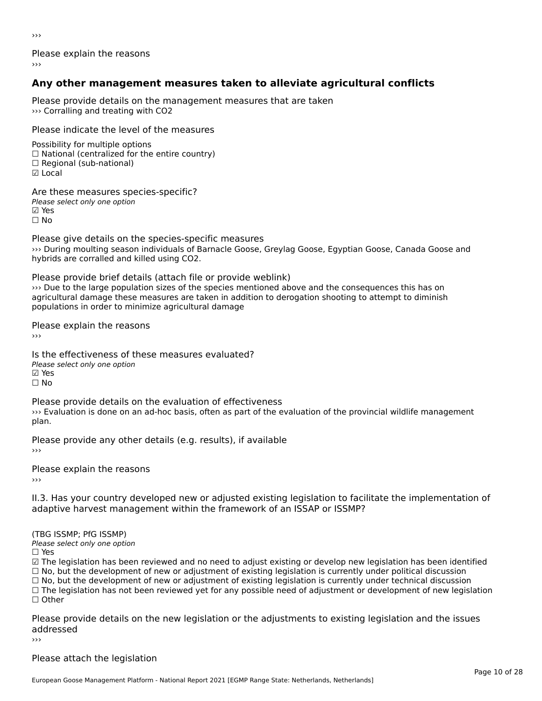›››

Please explain the reasons

### **Any other management measures taken to alleviate agricultural conflicts**

Please provide details on the management measures that are taken ››› Corralling and treating with CO2

Please indicate the level of the measures

Possibility for multiple options rossibility for multiple options<br>□ National (centralized for the entire country) □ Regional (centranzed to<br>□ Regional (sub-national) ☑ Local

Are these measures species-specific?∧e chese measures spe<br>Please select only one option **☑ Yes**<br>□ No

Please give details on the species-specific measures

ricuse give details on the species specific measures<br>>>> During moulting season individuals of Barnacle Goose, Greylag Goose, Egyptian Goose, Canada Goose and hybrids are corralled and killed using CO2.

Please provide brief details (attach file or provide weblink) ››› Due to the large population sizes of the species mentioned above and the consequences this has on agricultural damage these measures are taken in addition to derogation shooting to attempt to diminish agricultural damage these measures are taken in addition to derogation shooting to attempt to diminish populations in order to minimize agricultural damage

Please explain the reasons

Is the effectiveness of these measures evaluated?□ the cheenveness of t<br>Please select only one option ⊠ Yes ☐ No

Please provide details on the evaluation of effectiveness I lease provide details on the evaluation of enectiveness<br>>>> Evaluation is done on an ad-hoc basis, often as part of the evaluation of the provincial wildlife management plan.

Please provide any other details (e.g. results), if available

Please explain the reasons

II.3. Has your country developed new or adjusted existing legislation to facilitate the implementation of adaptive harvest management within the framework of an ISSAP or ISSMP?

(TBG ISSMP; PfG ISSMP) Please select only one option

☐ Yes

☑ The legislation has been reviewed and no need to adjust existing or develop new legislation has been identified ⊠ The regislation has been reviewed and no need to adjust existing or develop new regislation has been ident<br>□ No, but the development of new or adjustment of existing legislation is currently under political discussion □ No, but the development of new or adjustment of existing legislation is currently under political discussion<br>□ No, but the development of new or adjustment of existing legislation is currently under technical discussion ☐ The legislation has not been reviewed yet for any possible need of adjustment or development of new legislation ☐ Other

Please provide details on the new legislation or the adjustments to existing legislation and the issues addressedaddressed

#### Please attach the legislation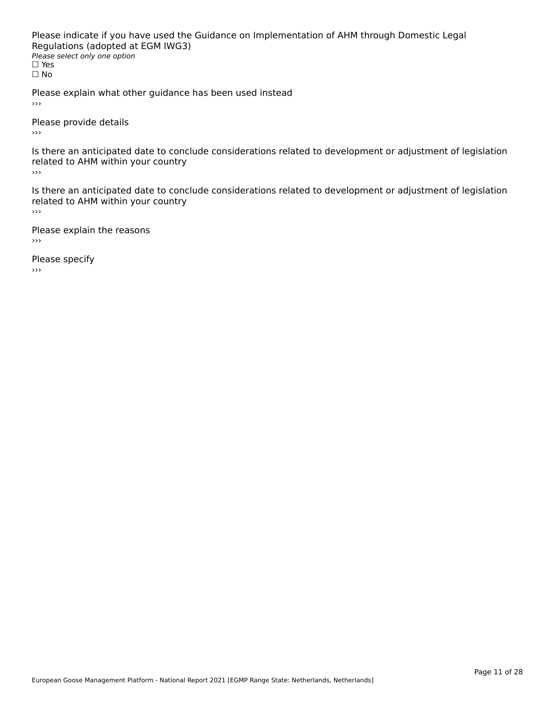Please indicate if you have used the Guidance on Implementation of AHM through Domestic Legal riease indicate ir you have used the<br>Regulations (adopted at EGM IWG3) **Regardents (dubpled a)**<br>Please select only one option ☐ Yesים וכ<br>⊡ No

Please explain what other guidance has been used instead  $\rightarrow$   $>$ 

Please provide details  $\rightarrow$   $>$ 

Is there an anticipated date to conclude considerations related to development or adjustment of legislation is there an anticipated date to control<br>related to AHM within your country

 $\rightarrow$   $>$ 

Is there an anticipated date to conclude considerations related to development or adjustment of legislation related to Arm within your country

Please explain the reasons

Please specify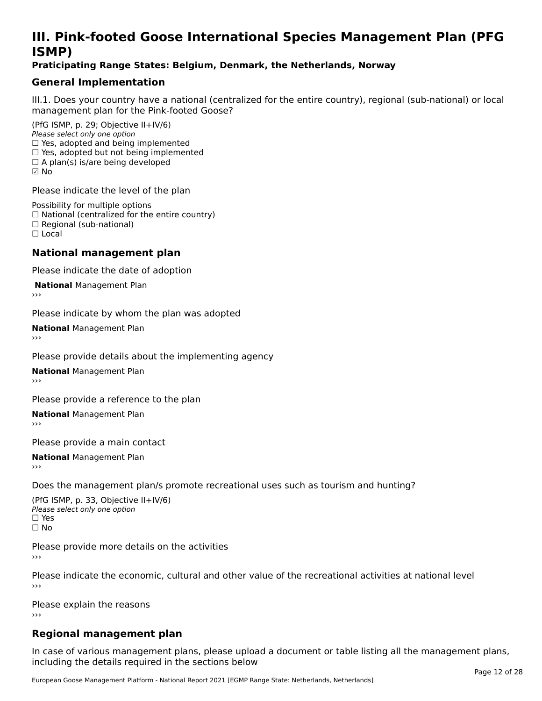### **III. Pink-footed Goose International Species Management Plan (PFG**III. FII<br>ICMAD)

#### **Praticipating Range States: Belgium, Denmark, the Netherlands, Norway**

### **General Implementation**

III.1. Does your country have a national (centralized for the entire country), regional (sub-national) or local

(PfG ISMP, p. 29; Objective II+IV/6) Please select only one option *riease select only one option*<br>□ Yes, adopted and being implemented  $\Box$  ies, adopted and being implemented<br> $\Box$  Yes, adopted but not being implemented  $\Box$  A plan(s) is/are being developed ☑ No

Please indicate the level of the plan

Possibility for multiple options rossibility for multiple options<br>□ National (centralized for the entire country) □ National (centralized io<br>□ Regional (sub-national) ☐ Local

#### **National management plan**

Please indicate the date of adoption

**National Management Plan** 

Please indicate by whom the plan was adopted

**National** Management Plan

Please provide details about the implementing agency

**National** Management Plan

Please provide a reference to the plan

**National** Management Plan

Please provide a main contact

**National** Management Plan

Does the management plan/s promote recreational uses such as tourism and hunting?

(PfG ISMP, p. 33, Objective II+IV/6) Please select only one optionPlease select only one option  $\square$  Yes ☐ No

Please provide more details on the activities›››

Please indicate the economic, cultural and other value of the recreational activities at national level

Please explain the reasons ›››

### **Regional management plan**

In case of various management plans, please upload a document or table listing all the management plans,in case or various management plans, please uploa<br>in the direct below the its required in the sections below including the details required in the sections below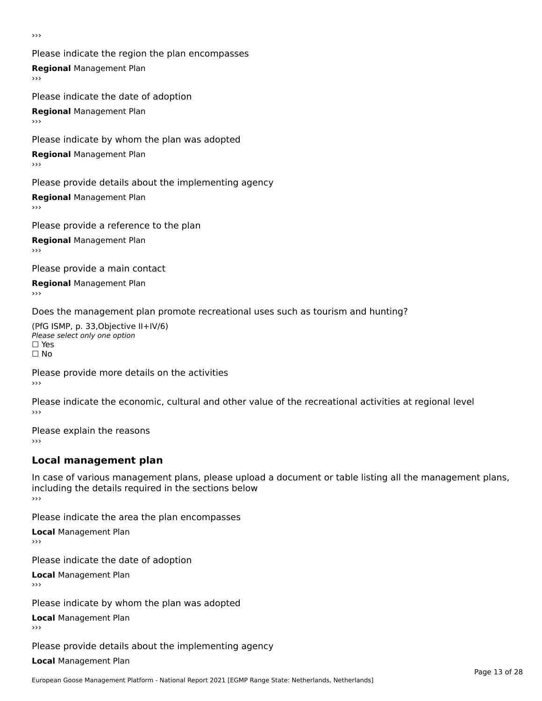›››

Please indicate the region the plan encompasses **Regional** Management Plan Please indicate the date of adoption

**Regional** Management Plan

Please indicate by whom the plan was adopted

**Regional** Management Plan

Please provide details about the implementing agency

**Regional** Management Plan

Please provide a reference to the plan

**Regional** Management Plan

Please provide a main contact

**Regional** Management Plan

Does the management plan promote recreational uses such as tourism and hunting?

(PfG ISMP, p. 33,Objective II+IV/6) ∩∩ וויוכו פון<br>Please select only one option<br>□ Yes □ Yes<br>□ No

Please provide more details on the activities ›››

Please indicate the economic, cultural and other value of the recreational activities at regional level

Please explain the reasons ›››

### **Local management plan**

In case of various management plans, please upload a document or table listing all the management plans, in case or various management plans, please uploa<br>including the details required in the sections below ›››

Please indicate the area the plan encompasses

**Local** Management Plan

Please indicate the date of adoption

**Local** Management Plan›››

Please indicate by whom the plan was adopted

**Local** Management Plan

Please provide details about the implementing agency

**Local** Management Plan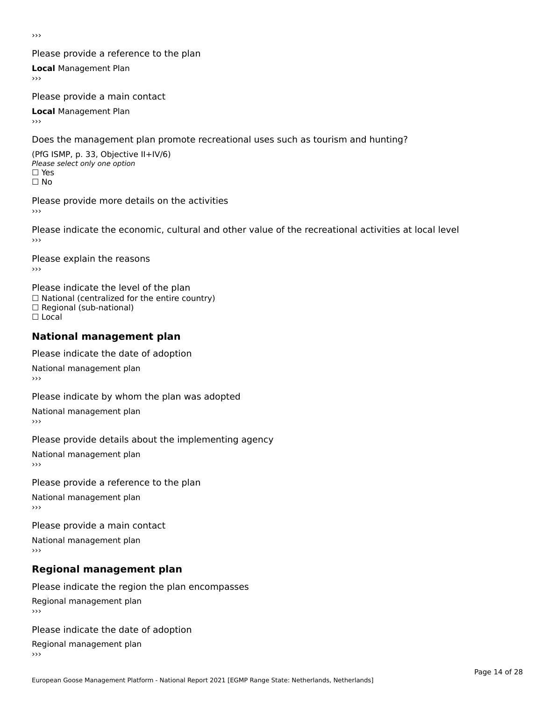›››

#### Please provide a reference to the plan

**Local** Management Plan

Please provide a main contact

**Local** Management Plan

Does the management plan promote recreational uses such as tourism and hunting?

(PfG ISMP, p. 33, Objective II+IV/6) Please select only one option☐ Yes☐ No

Please provide more details on the activities

Please indicate the economic, cultural and other value of the recreational activities at local level

Please explain the reasons ›››

Please indicate the level of the plan ∩ease marcate the lever of the plan<br>□ National (centralized for the entire country) □ National (centralized io<br>□ Regional (sub-national) ☐ Local

#### **National management plan**

Please indicate the date of adoption

National management plan

Please indicate by whom the plan was adopted

National management plan

Please provide details about the implementing agency

National management plan

Please provide a reference to the plan

National management plan

Please provide a main contact

National management plan

### **Regional management plan**

Please indicate the region the plan encompasses Regional management plan

Please indicate the date of adoption

Regional management plan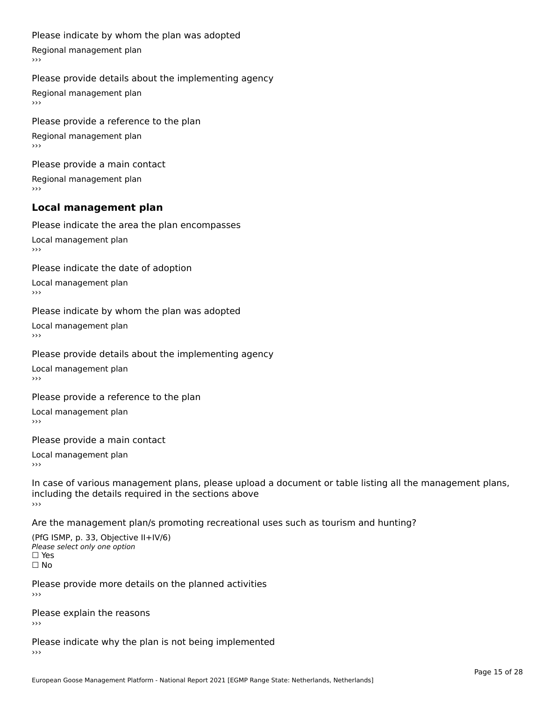#### Please indicate by whom the plan was adopted

Regional management plan

#### Please provide details about the implementing agency

Regional management plan

Please provide a reference to the plan Regional management plan

Please provide a main contact Regional management plan

#### **Local management plan**

Please indicate the area the plan encompasses

Local management plan $\overline{\phantom{a}}$  $\rightarrow$   $>$ 

Please indicate the date of adoption

Local management plan $\overline{v}$ 

Please indicate by whom the plan was adopted Local management plan›››

Please provide details about the implementing agency

Local management plan $\overline{v}$ 

Please provide a reference to the plan

Local management plan›››

Please provide a main contact

Local management plan $\overline{v}$ 

In case of various management plans, please upload a document or table listing all the management plans,in case or various management plans, please upload including the details required in the sections above<br>>>>

Are the management plan/s promoting recreational uses such as tourism and hunting?

(PfG ISMP, p. 33, Objective II+IV/6) Please select only one option☐ Yes☐ No

Please provide more details on the planned activities

Please explain the reasons›››

Please indicate why the plan is not being implemented›››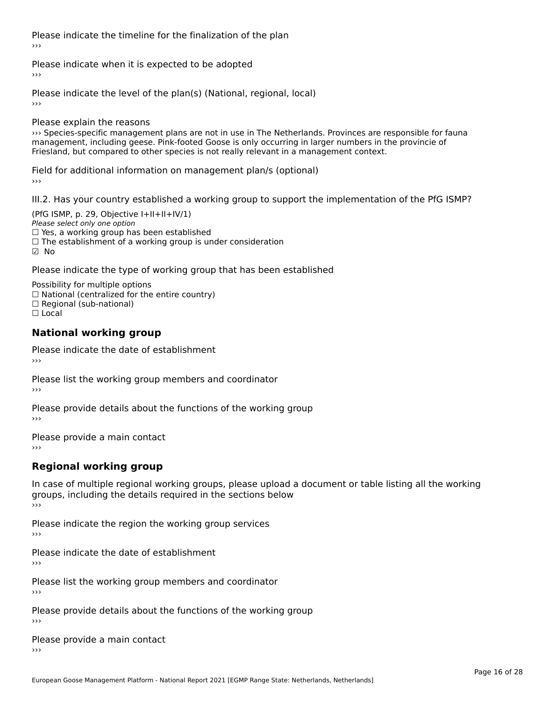Please indicate the timeline for the finalization of the plan›››

Please indicate when it is expected to be adopted

Please indicate the level of the plan(s) (National, regional, local)

Please explain the reasons

››› Species-specific management plans are not in use in The Netherlands. Provinces are responsible for fauna management, including geese. Pink-footed Goose is only occurring in larger numbers in the provincie of management, including geese. Pink-footed Goose is only occurring in larger numbers in the provincie of Friesland, but compared to other species is not really relevant in a management context.

Field for additional information on management plan/s (optional)

III.2. Has your country established a working group to support the implementation of the PfG ISMP?

(PfG ISMP, p. 29, Objective  $I+II+II+IV/1$ ) Please select only one option ☐ Yes, a working group has been established☐ The establishment of a working group is under consideration ☑ No

Please indicate the type of working group that has been established

Possibility for multiple options rossibility for multiple options<br>□ National (centralized for the entire country) □ Regional (sub-national)

☐ Local

#### **National working group**

Please indicate the date of establishment›››

Please list the working group members and coordinator ›››

Please provide details about the functions of the working group ›››

Please provide a main contact ›››

### **Regional working group**

In case of multiple regional working groups, please upload a document or table listing all the working groups, including the details required in the sections below ›››

Please indicate the region the working group services ›››

Please indicate the date of establishment

›››

Please list the working group members and coordinator ›››

Please provide details about the functions of the working group ›››

Please provide a main contact ›››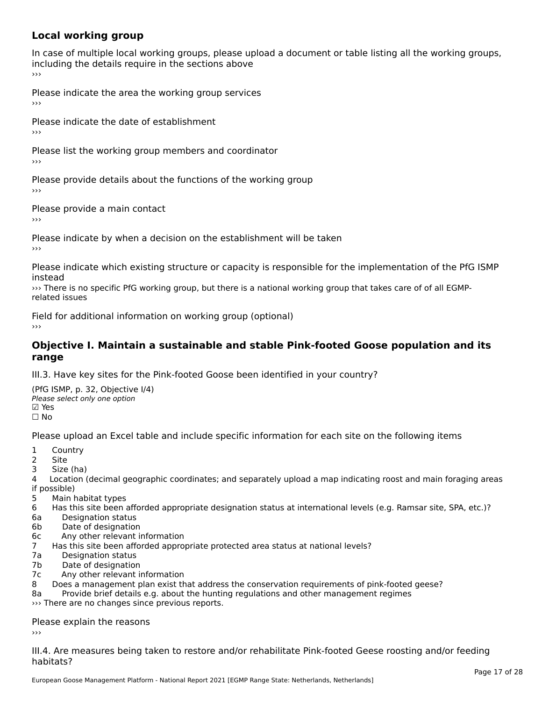### **Local working group**

In case of multiple local working groups, please upload a document or table listing all the working groups, in case of multiple local working groups, please up ›››

Please indicate the area the working group services ›››

Please indicate the date of establishment ›››

Please list the working group members and coordinator ›››

Please provide details about the functions of the working group ›››

Please provide a main contact ›››

Please indicate by when a decision on the establishment will be taken

Please indicate which existing structure or capacity is responsible for the implementation of the PfG ISMP instead<br>>>> There is no specific PfG working group, but there is a national working group that takes care of of all EGMP-

related issues

Field for additional information on working group (optional)

#### **Objective I. Maintain a sustainable and stable Pink-footed Goose population and its range**range

III.3. Have key sites for the Pink-footed Goose been identified in your country?

(PfG ISMP, p. 32, Objective I/4)יייכו סיווי, p: אב, סטןככנוע<br>Please select only one option **☑ Yes**<br>□ No

Please upload an Excel table and include specific information for each site on the following items

- $1 \quad \alpha$  $\frac{1}{2}$  COUI
- 2 Site<br>3 Size (ha)
- 

4 Location (decimal geographic coordinates; and separately upload a map indicating roost and main foraging areas 4 Locatio<br>if possible)

- 5 Main habitat types
- 6 Has this site been afforded appropriate designation status at international levels (e.g. Ramsar site, SPA, etc.)? 6a Designation status
- 6a Designation status<br>6b Date of designation
- 
- 6c Any other relevant information
- 7 Has this site been afforded appropriate protected area status at national levels? 7a Designation status
- 7a Designation status<br>7b Date of designation
- 
- 7c Any other relevant information
- 8 Does a management plan exist that address the conservation requirements of pink-footed geese?
- 8a Provide brief details e.g. about the hunting regulations and other management regimes 8a Provide brief details e.g. about the hunting the reports.

### Please explain the reasons

III.4. Are measures being taken to restore and/or rehabilitate Pink-footed Geese roosting and/or feedinghabitats?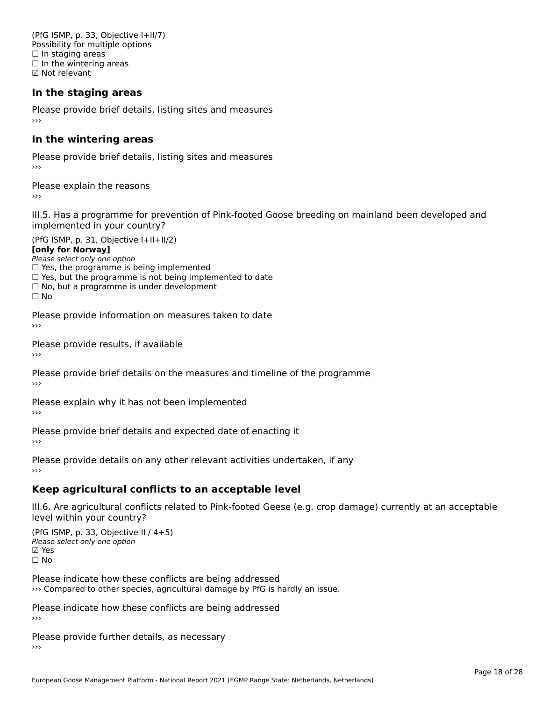(PfG ISMP, p. 33, Objective I+II/7) Possibility for multiple options  $\Box$  In staging areas □ in staging areas<br>□ In the wintering areas ☑ Not relevant

#### **In the staging areas**

Please provide brief details, listing sites and measures ›››

#### **In the wintering areas**

Please provide brief details, listing sites and measures ›››

Please explain the reasons

III.5. Has a programme for prevention of Pink-footed Goose breeding on mainland been developed and im.5. Tias a programme for pre<br>implemented in your country?

 $(PC I CMP, p. 31, Ok)$ **[only for Norway]**[only for Norway] **Lonny for Norways**<br>Please select only one option

riease select only one option<br>□ Yes, the programme is being implemented  $\Box$  ies, the programme is being implemented to date  $\Box$  Yes, but the programme is not being implemented to date  $\Box$  No, but a programme is under development  $\Box$  No

Please provide information on measures taken to date

Please provide results, if available

Please provide brief details on the measures and timeline of the programme›››

Please explain why it has not been implemented

Please provide brief details and expected date of enacting it

›››

Please provide details on any other relevant activities undertaken, if any

### **Keep agricultural conflicts to an acceptable level**

III.6. Are agricultural conflicts related to Pink-footed Geese (e.g. crop damage) currently at an acceptable

(PfG ISMP, p. 33, Objective II / 4+5)Please select only one option ☑ Yes☐ No

Please indicate how these conflicts are being addressed ››› Compared to other species, agricultural damage by PfG is hardly an issue.

Please indicate how these conflicts are being addressed

Please provide further details, as necessary ›››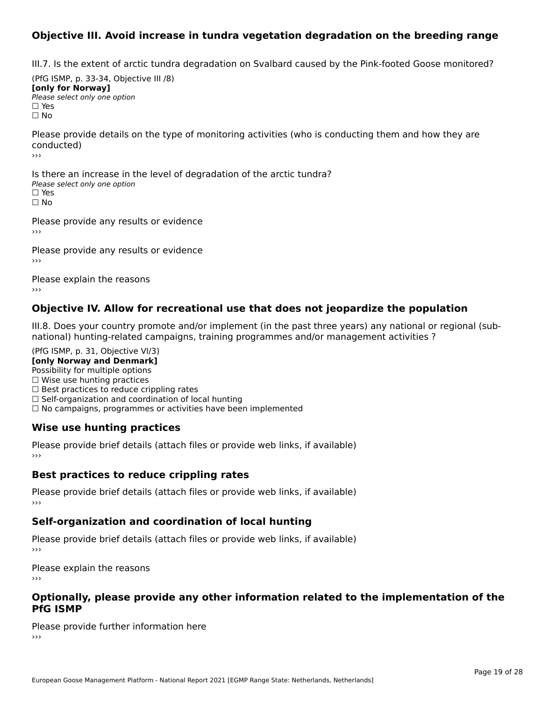#### **Objective III. Avoid increase in tundra vegetation degradation on the breeding range**

III.7. Is the extent of arctic tundra degradation on Svalbard caused by the Pink-footed Goose monitored?

 $(DfG | GMP, p. 33-34, O$ (דיכ-ככ p. y. ידע)<br>**For head** of the Moment of [only for Norway] **Please select only one option** □ Yes<br>□ No

Please provide details on the type of monitoring activities (who is conducting them and how they are conducted)

›››

Is there an increase in the level of degradation of the arctic tundra? □ CitCre dir increduce in c<br>Please select only one option □ Yes<br>□ No

Please provide any results or evidence

Please provide any results or evidence

Please explain the reasons›››

#### **Objective IV. Allow for recreational use that does not jeopardize the population**

III.8. Does your country promote and/or implement (in the past three years) any national or regional (subnational) hunting-relational programmes and/or miplement (in the past time years) any national or national) hunting-related campaigns, training programmes and/or management activities ?

(PfG ISMP, p. 31, Objective VI/3) **[only Norway and Denmark]** Possibility for multiple options ☐ Wise use hunting practices $\Box$  Wise use hunting practices  $\Box$  wise use numing practices<br> $\Box$  Best practices to reduce crippling rates

□ Best practices to reduce cripping rates<br>□ Self-organization and coordination of local hunting

□ Sen-organization and coordination or local nunting<br>□ No campaigns, programmes or activities have been implemented

#### **Wise use hunting practices**

Please provide brief details (attach files or provide web links, if available) ›››

#### **Best practices to reduce crippling rates**

Please provide brief details (attach files or provide web links, if available)

#### **Self-organization and coordination of local hunting**

Please provide brief details (attach files or provide web links, if available)

Please explain the reasons

# **Optionally, please provide any other information related to the implementation of the PfG ISMP**

Please provide further information here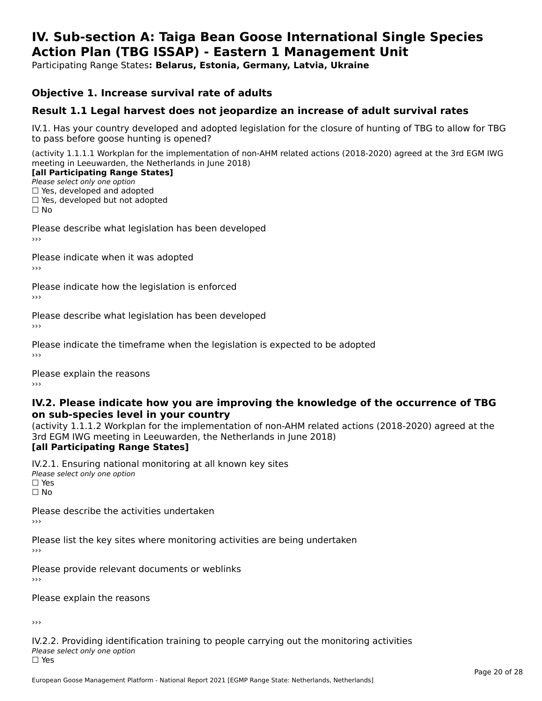#### **IV. Sub-section A: Taiga Bean Goose International Single Species Action Plan (TBG ISSAP) - Eastern 1 Management UnitAction Plan (TBG ISSAP) - Eastern 1 Management Unit**

Participating Range States**: Belarus, Estonia, Germany, Latvia, Ukraine** 

#### **Objective 1. Increase survival rate of adults**

#### **Result 1.1 Legal harvest does not jeopardize an increase of adult survival rates**

IV.1. Has your country developed and adopted legislation for the closure of hunting of TBG to allow for TBG IV.1. Thas your country developed and add<br>to pass before goose hunting is opened?

(activity 1.1.1.1 Workplan for the implementation of non-AHM related actions (2018-2020) agreed at the 3rd EGM IWG meeting in Leeuwarden, the Netherlands in June 2018)

#### [all Participating Range States]

Please select only one option ☐ Yes, developed and adopted

 ☐ Yes, developed but not adopted $\Box$  ies, developed but not adopted

Please describe what legislation has been developed

Please indicate when it was adopted

Please indicate how the legislation is enforced

Please describe what legislation has been developed

Please indicate the timeframe when the legislation is expected to be adopted

Please explain the reasons

#### **IV.2. Please indicate how you are improving the knowledge of the occurrence of TBG on sub-species level in your country**on sub-species level in your country

on sub-species fever in your country<br>(activity 1.1.1.2 Workplan for the implementation of non-AHM related actions (2018-2020) agreed at the **Brd EGM IWG meeting in Leeuwarden, the Netherlands in June 2018)** 

#### [all Participating Range States]

IV.2.1. Ensuring national monitoring at all known key sites <del>■ Western Chroning</del> Hational<br>Please select only one option □ Yes<br>□ No

Please describe the activities undertaken

Please list the key sites where monitoring activities are being undertaken

Please provide relevant documents or weblinks

Please explain the reasons

›››

IV.2.2. Providing identification training to people carrying out the monitoring activities Please select only one option<br>□ Yes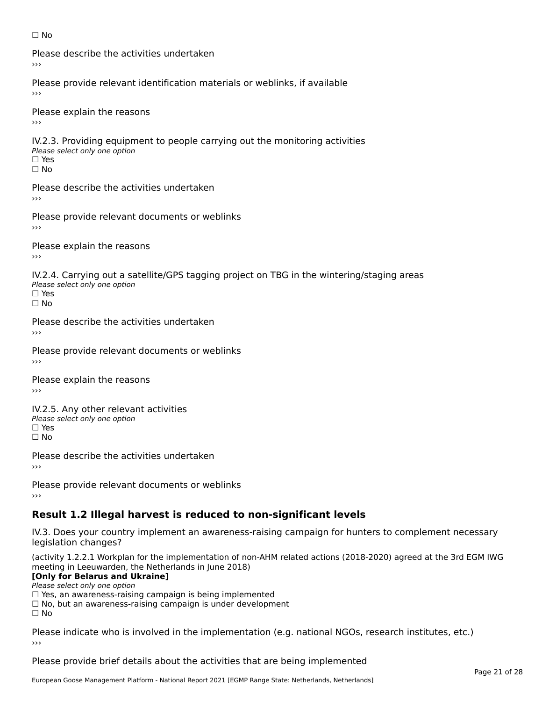#### ☐ No

Please describe the activities undertaken›››

Please provide relevant identification materials or weblinks, if available

Please explain the reasons

IV.2.3. Providing equipment to people carrying out the monitoring activities Please select only one option ☐ Yes□ Yes<br>□ No

Please describe the activities undertaken›››

Please provide relevant documents or weblinks

Please explain the reasons ›››

IV.2.4. Carrying out a satellite/GPS tagging project on TBG in the wintering/staging areas <del>∩</del><br>Please select only one option □ Yes<br>□ No

Please describe the activities undertaken›››

Please provide relevant documents or weblinks

Please explain the reasons

IV.2.5. Any other relevant activities Please select only one option ☐ Yes□ Yes<br>□ No

Please describe the activities undertaken›››

Please provide relevant documents or weblinks

### **Result 1.2 Illegal harvest is reduced to non-significant levels**

IV.3. Does your country implement an awareness-raising campaign for hunters to complement necessary rv.5. Does your court<br>legislation changes?

(activity 1.2.2.1 Workplan for the implementation of non-AHM related actions (2018-2020) agreed at the 3rd EGM IWG meeting in Leeuwarden, the Netherlands in June 2018)

#### **[Only for Belarus and Ukraine]**

**LOTTLY TOT Detailed and O**<br>Please select only one option

riease select only one option<br>□ Yes, an awareness-raising campaign is being implemented<br>□ Yes, an awareness-raising campaign is under development

□ No, but an awareness-raising campaign is under development<br>□ N。

 $\Box$  No

Please indicate who is involved in the implementation (e.g. national NGOs, research institutes, etc.)

Please provide brief details about the activities that are being implemented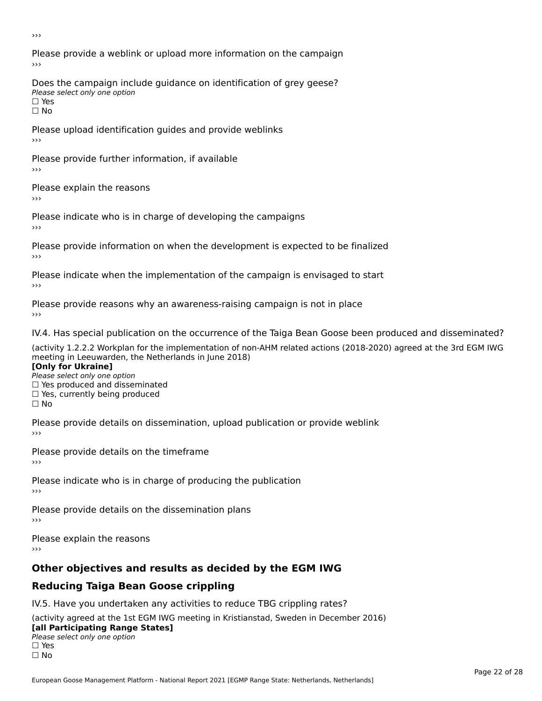›››

Please provide a weblink or upload more information on the campaign›››

Does the campaign include guidance on identification of grey geese? Please select only one option<br>□ Yes □ Yes<br>□ No

Please upload identification guides and provide weblinks ›››

Please provide further information, if available

Please explain the reasons

Please indicate who is in charge of developing the campaigns

Please provide information on when the development is expected to be finalized

Please indicate when the implementation of the campaign is envisaged to start

Please provide reasons why an awareness-raising campaign is not in place

IV.4. Has special publication on the occurrence of the Taiga Bean Goose been produced and disseminated?

(activity 1.2.2.2 Workplan for the implementation of non-AHM related actions (2018-2020) agreed at the 3rd EGM IWG **[Only for Ukraine]**

**□ Yes produced and disseminated**<br>Please select only one option  $\Box$  ies produced and disseminated  $\Box$  ies, currently being produced

Please provide details on dissemination, upload publication or provide weblink

Please provide details on the timeframe

Please indicate who is in charge of producing the publication

Please provide details on the dissemination plans

Please explain the reasons ›››

### **Other objectives and results as decided by the EGM IWG**

### **Reducing Taiga Bean Goose crippling**

IV.5. Have you undertaken any activities to reduce TBG crippling rates?

(activity agreed at the 1st EGM IWG meeting in Kristianstad, Sweden in December 2016) **[all Participating Range States]**[all Participating Range States]

#### **Lan T articipating Range**<br>Please select only one option

□ Yes<br>□ No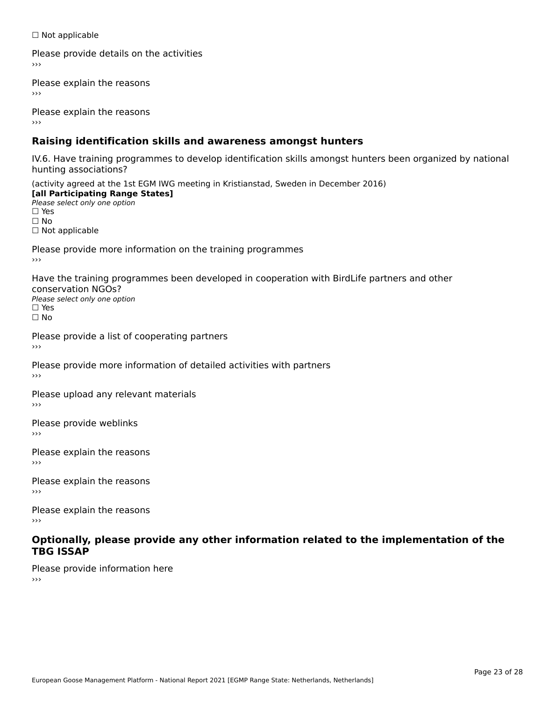☐ Not applicable

Please provide details on the activities

Please explain the reasons

Please explain the reasons

### **Raising identification skills and awareness amongst hunters**

IV.6. Have training programmes to develop identification skills amongst hunters been organized by national rv.o. riave training pro<br>hunting associations?

(activity agreed at the 1st EGM IWG meeting in Kristianstad, Sweden in December 2016) **[all Participating Range States]**[all Participating Range States] **Lan Tarticipating Range**<br>Please select only one option ☐ Yes☐ No□ Not applicable

Please provide more information on the training programmes

Have the training programmes been developed in cooperation with BirdLife partners and other conservation NGOs?Please select only one option☐ Yes☐ No

Please provide a list of cooperating partners

Please provide more information of detailed activities with partners

Please upload any relevant materials

Please provide weblinks

Please explain the reasons

Please explain the reasons›››

Please explain the reasons›››

#### **Optionally, please provide any other information related to the implementation of the TBG ISSAP**

Please provide information here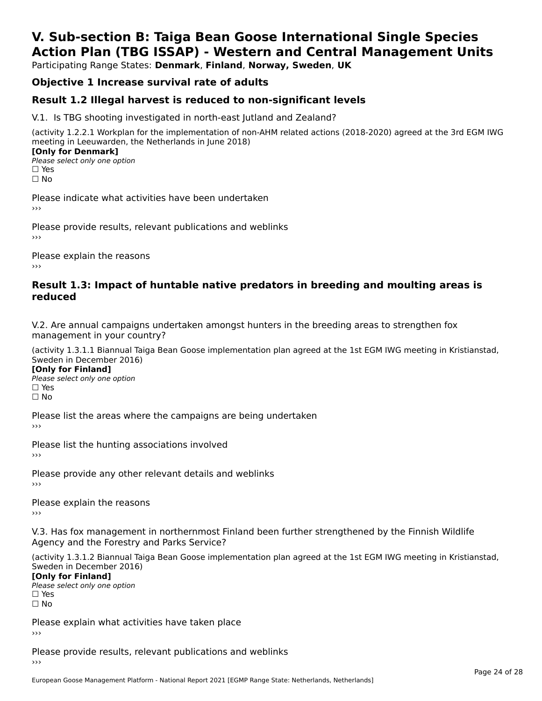### **V. Sub-section B: Taiga Bean Goose International Single SpeciesAction Plan (TBG ISSAP) - Western and Central Management Units**

Participating Range States: **Denmark**, **Finland**, **Norway, Sweden**, **UK**

### **Objective 1 Increase survival rate of adults**

#### **Result 1.2 Illegal harvest is reduced to non-significant levels**

V.1. Is TBG shooting investigated in north-east Jutland and Zealand?

(activity 1.2.2.1 Workplan for the implementation of non-AHM related actions (2018-2020) agreed at the 3rd EGM IWG meeting in Leeuwarden, the Netherlands in June 2018) **[Only for Denmark]** 

**□ Please select only one option** □ Yes<br>□ No

Please indicate what activities have been undertaken›››

Please provide results, relevant publications and weblinks ›››

Please explain the reasons›››

#### **Result 1.3: Impact of huntable native predators in breeding and moulting areas is reduced**

V.2. Are annual campaigns undertaken amongst hunters in the breeding areas to strengthen fox v.z. Are annual campaigns und<br>management in your country?

(activity 1.3.1.1 Biannual Taiga Bean Goose implementation plan agreed at the 1st EGM IWG meeting in Kristianstad, Sweden in December 2016)

**[Only for Finland]** Please select only one optionriease<br>□ Yes □ Yes<br>□ No

Please list the areas where the campaigns are being undertaken

Please list the hunting associations involved

Please provide any other relevant details and weblinks ›››

Please explain the reasons

V.3. Has fox management in northernmost Finland been further strengthened by the Finnish Wildlife v.5. Has fox management in northernmost F<br>Agency and the Forestry and Parks Service?

(activity 1.3.1.2 Biannual Taiga Bean Goose implementation plan agreed at the 1st EGM IWG meeting in Kristianstad, Sweden in December 2016) Sweden in December 2016)

[Only for Finland]

**Please select only one option** □ Yes<br>□ No

Please explain what activities have taken place

Please provide results, relevant publications and weblinks ›››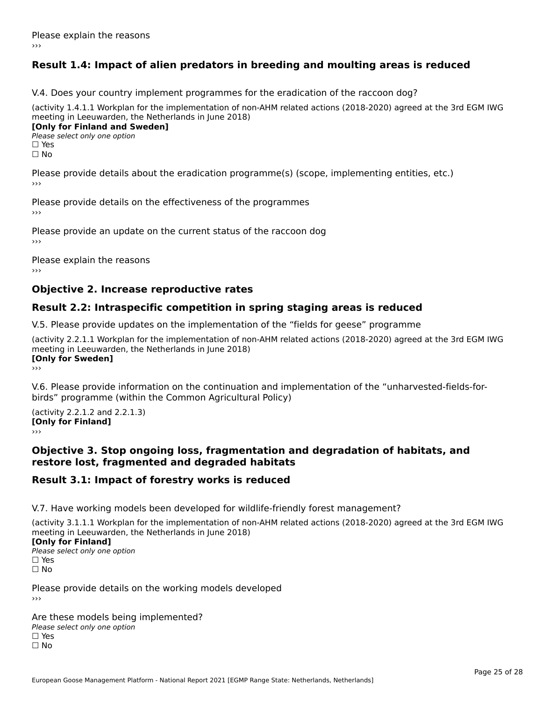### **Result 1.4: Impact of alien predators in breeding and moulting areas is reduced**

V.4. Does your country implement programmes for the eradication of the raccoon dog?

(activity 1.4.1.1 Workplan for the implementation of non-AHM related actions (2018-2020) agreed at the 3rd EGM IWG meeting in Leeuwarden, the Netherlands in June 2018) **[Only for Finland and Sweden]**

**Please select only one option** 

□ Yes<br>□ No

Please provide details about the eradication programme(s) (scope, implementing entities, etc.)

Please provide details on the effectiveness of the programmes

Please provide an update on the current status of the raccoon dog

Please explain the reasons

#### **Objective 2. Increase reproductive rates**

#### **Result 2.2: Intraspecific competition in spring staging areas is reduced**

V.5. Please provide updates on the implementation of the "fields for geese" programme

(activity 2.2.1.1 Workplan for the implementation of non-AHM related actions (2018-2020) agreed at the 3rd EGM IWG meeting in Leeuwarden, the Netherlands in June 2018) <u>Iony</u> ioi swedenj

V.6. Please provide information on the continuation and implementation of the "unharvested-fields-forbirds" programme (within the Common Agricultural Policy)birds" programme (within the Common Agricultural Policy)

(activity 2.2.1.2 and 2.2.1.3) **CONDUCTS**<br> **[Only for Finland]** 

#### **Objective 3. Stop ongoing loss, fragmentation and degradation of habitats, and restore lost, fragmented and degraded habitats**

#### **Result 3.1: Impact of forestry works is reduced**

V.7. Have working models been developed for wildlife-friendly forest management?

(activity 3.1.1.1 Workplan for the implementation of non-AHM related actions (2018-2020) agreed at the 3rd EGM IWG

#### **[Only for Finland]**

**Please select only one option** □ Yes<br>□ No

Please provide details on the working models developed

Are these models being implemented? ∩ne enese moders being<br>Please select only one option □ Yes<br>□ No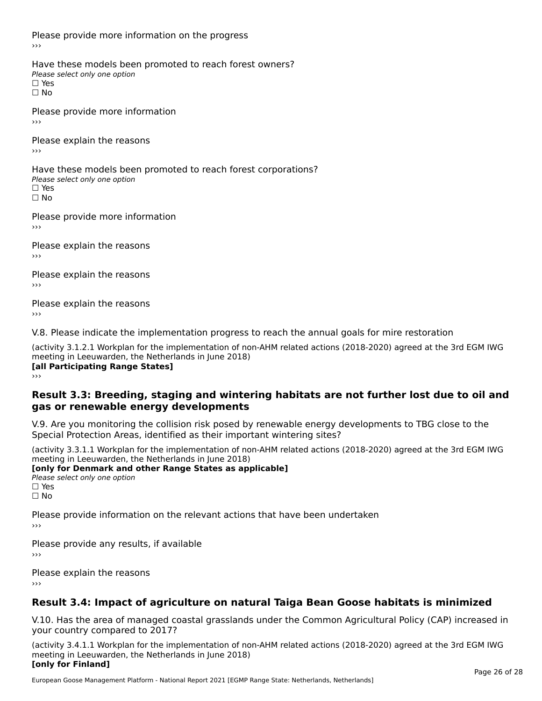Please provide more information on the progress

Have these models been promoted to reach forest owners? ∩ave these models bee<br>Please select only one option □ Yes<br>□ No

Please provide more information›››

Please explain the reasons ›››

Have these models been promoted to reach forest corporations? ∩ave these models bee<br>Please select only one option □ Yes<br>□ No

Please provide more information›››

Please explain the reasons ›››

Please explain the reasons›››

Please explain the reasons›››

V.8. Please indicate the implementation progress to reach the annual goals for mire restoration

(activity 3.1.2.1 Workplan for the implementation of non-AHM related actions (2018-2020) agreed at the 3rd EGM IWG meeting in Leeuwarden, the Netherlands in June 2018) **[all Participating Range States]** ›››

**Result 3.3: Breeding, staging and wintering habitats are not further lost due to oil andgas or renewable energy developments**

#### gas or renewable energy developments

V.9. Are you monitoring the collision risk posed by renewable energy developments to TBG close to the Special Protection Areas, identified as their important wintering sites?

(activity 3.3.1.1 Workplan for the implementation of non-AHM related actions (2018-2020) agreed at the 3rd EGM IWG **[only for Denmark and other Range States as applicable]**

**Please select only one option** □ Yes<br>□ No

Please provide information on the relevant actions that have been undertaken ›››

Please provide any results, if available

Please explain the reasons

### **Result 3.4: Impact of agriculture on natural Taiga Bean Goose habitats is minimized**

V.10. Has the area of managed coastal grasslands under the Common Agricultural Policy (CAP) increased in

(activity 3.4.1.1 Workplan for the implementation of non-AHM related actions (2018-2020) agreed at the 3rd EGM IWG meeting in Leeuwarden, the Netherlands in June 2018) **[only for Finland]**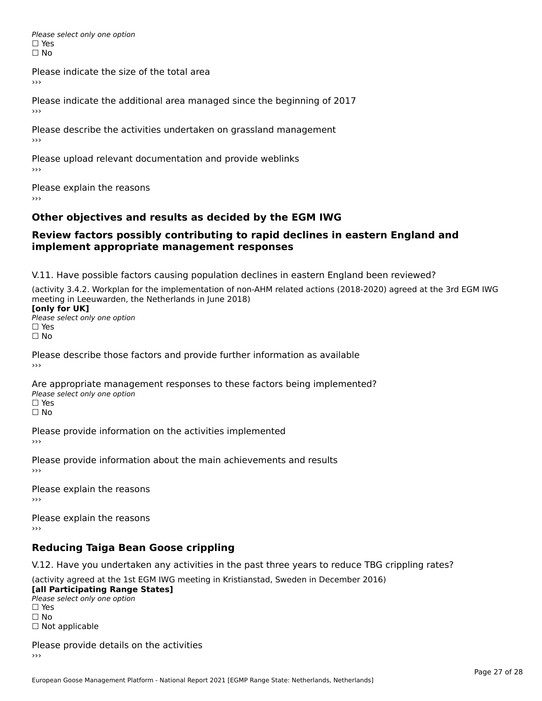Please select only one option □ Yes<br>□ No

Please indicate the size of the total area

›››

Please indicate the additional area managed since the beginning of 2017

Please describe the activities undertaken on grassland management ›››

Please upload relevant documentation and provide weblinks

Please explain the reasons

### **Other objectives and results as decided by the EGM IWG**

#### **Review factors possibly contributing to rapid declines in eastern England andimplement appropriate management responses**implement appropriate management responses

V.11. Have possible factors causing population declines in eastern England been reviewed?

(activity 3.4.2. Workplan for the implementation of non-AHM related actions (2018-2020) agreed at the 3rd EGM IWGmeeting in Leeuwarden, the Netherlands in June 2018) meeting in Leeuwarden, the Netherlands in June 2018)<br>**[only for UK]** 

**∐omy for OR**<br>Please select only one option □ Yes<br>□ No

Please describe those factors and provide further information as available

Are appropriate management responses to these factors being implemented? ric appropriace manage<br>Please select only one option ☐ Yesים<br>⊡ No

Please provide information on the activities implemented ›››

Please provide information about the main achievements and results›››

Please explain the reasons›››

Please explain the reasons ›››

### **Reducing Taiga Bean Goose crippling**

V.12. Have you undertaken any activities in the past three years to reduce TBG crippling rates?

(activity agreed at the 1st EGM IWG meeting in Kristianstad, Sweden in December 2016) **[all Participating Range States]**

[all Participating Range States] Please select only one option☐ Yesים<br>⊡ No □ Not applicable

Please provide details on the activities  $\rightarrow$   $>$